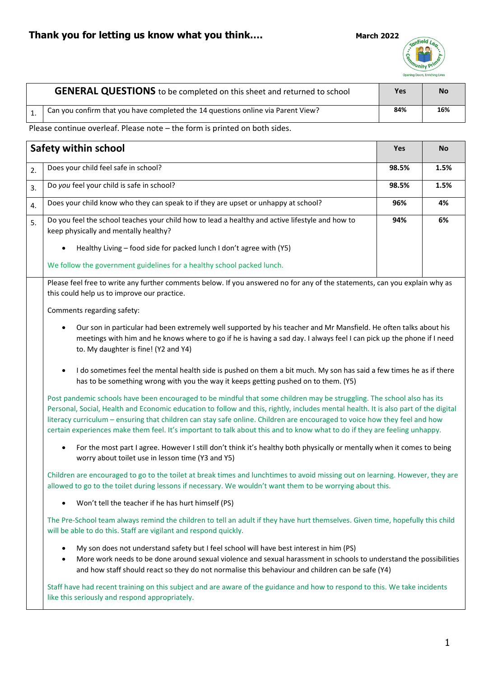

| <b>GENERAL QUESTIONS</b> to be completed on this sheet and returned to school    | Yes | <b>No</b> |
|----------------------------------------------------------------------------------|-----|-----------|
| Can you confirm that you have completed the 14 questions online via Parent View? | 84% | 16%       |

Please continue overleaf. Please note – the form is printed on both sides.

| <b>Safety within school</b> |                                                                                                                                                                                                                                                                                                                                                                                                                                                                                                                         | Yes   | <b>No</b> |
|-----------------------------|-------------------------------------------------------------------------------------------------------------------------------------------------------------------------------------------------------------------------------------------------------------------------------------------------------------------------------------------------------------------------------------------------------------------------------------------------------------------------------------------------------------------------|-------|-----------|
| 2.                          | Does your child feel safe in school?                                                                                                                                                                                                                                                                                                                                                                                                                                                                                    | 98.5% | 1.5%      |
| 3.                          | Do you feel your child is safe in school?                                                                                                                                                                                                                                                                                                                                                                                                                                                                               | 98.5% | 1.5%      |
| 4.                          | Does your child know who they can speak to if they are upset or unhappy at school?                                                                                                                                                                                                                                                                                                                                                                                                                                      | 96%   | 4%        |
| 5.                          | Do you feel the school teaches your child how to lead a healthy and active lifestyle and how to<br>keep physically and mentally healthy?                                                                                                                                                                                                                                                                                                                                                                                | 94%   | 6%        |
|                             | Healthy Living - food side for packed lunch I don't agree with (Y5)                                                                                                                                                                                                                                                                                                                                                                                                                                                     |       |           |
|                             | We follow the government guidelines for a healthy school packed lunch.                                                                                                                                                                                                                                                                                                                                                                                                                                                  |       |           |
|                             | Please feel free to write any further comments below. If you answered no for any of the statements, can you explain why as<br>this could help us to improve our practice.                                                                                                                                                                                                                                                                                                                                               |       |           |
|                             | Comments regarding safety:                                                                                                                                                                                                                                                                                                                                                                                                                                                                                              |       |           |
|                             | Our son in particular had been extremely well supported by his teacher and Mr Mansfield. He often talks about his<br>meetings with him and he knows where to go if he is having a sad day. I always feel I can pick up the phone if I need<br>to. My daughter is fine! (Y2 and Y4)                                                                                                                                                                                                                                      |       |           |
|                             | I do sometimes feel the mental health side is pushed on them a bit much. My son has said a few times he as if there<br>$\bullet$<br>has to be something wrong with you the way it keeps getting pushed on to them. (Y5)                                                                                                                                                                                                                                                                                                 |       |           |
|                             | Post pandemic schools have been encouraged to be mindful that some children may be struggling. The school also has its<br>Personal, Social, Health and Economic education to follow and this, rightly, includes mental health. It is also part of the digital<br>literacy curriculum - ensuring that children can stay safe online. Children are encouraged to voice how they feel and how<br>certain experiences make them feel. It's important to talk about this and to know what to do if they are feeling unhappy. |       |           |
|                             | For the most part I agree. However I still don't think it's healthy both physically or mentally when it comes to being<br>$\bullet$<br>worry about toilet use in lesson time (Y3 and Y5)                                                                                                                                                                                                                                                                                                                                |       |           |
|                             | Children are encouraged to go to the toilet at break times and lunchtimes to avoid missing out on learning. However, they are<br>allowed to go to the toilet during lessons if necessary. We wouldn't want them to be worrying about this.                                                                                                                                                                                                                                                                              |       |           |
|                             | Won't tell the teacher if he has hurt himself (PS)                                                                                                                                                                                                                                                                                                                                                                                                                                                                      |       |           |
|                             | The Pre-School team always remind the children to tell an adult if they have hurt themselves. Given time, hopefully this child<br>will be able to do this. Staff are vigilant and respond quickly.                                                                                                                                                                                                                                                                                                                      |       |           |
|                             | My son does not understand safety but I feel school will have best interest in him (PS)<br>٠<br>More work needs to be done around sexual violence and sexual harassment in schools to understand the possibilities<br>and how staff should react so they do not normalise this behaviour and children can be safe (Y4)                                                                                                                                                                                                  |       |           |
|                             | Staff have had recent training on this subject and are aware of the guidance and how to respond to this. We take incidents<br>like this seriously and respond appropriately.                                                                                                                                                                                                                                                                                                                                            |       |           |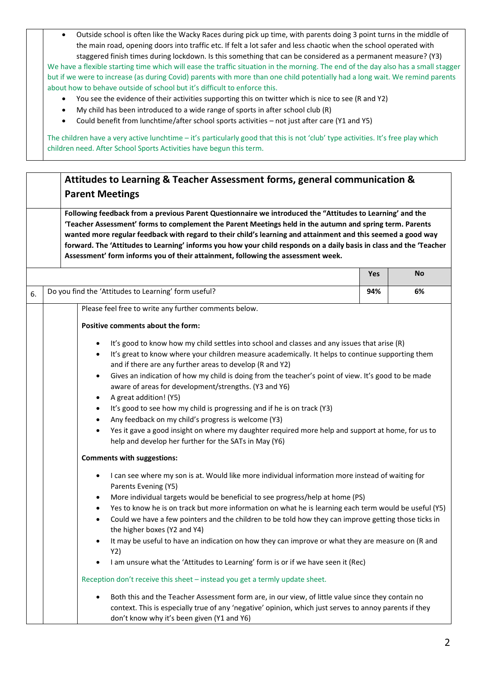• Outside school is often like the Wacky Races during pick up time, with parents doing 3 point turns in the middle of the main road, opening doors into traffic etc. If felt a lot safer and less chaotic when the school operated with staggered finish times during lockdown. Is this something that can be considered as a permanent measure? (Y3)

We have a flexible starting time which will ease the traffic situation in the morning. The end of the day also has a small stagger but if we were to increase (as during Covid) parents with more than one child potentially had a long wait. We remind parents about how to behave outside of school but it's difficult to enforce this.

- You see the evidence of their activities supporting this on twitter which is nice to see (R and Y2)
- My child has been introduced to a wide range of sports in after school club (R)
- Could benefit from lunchtime/after school sports activities not just after care (Y1 and Y5)

The children have a very active lunchtime – it's particularly good that this is not 'club' type activities. It's free play which children need. After School Sports Activities have begun this term.

# **Attitudes to Learning & Teacher Assessment forms, general communication & Parent Meetings**

**Following feedback from a previous Parent Questionnaire we introduced the "Attitudes to Learning' and the 'Teacher Assessment' forms to complement the Parent Meetings held in the autumn and spring term. Parents wanted more regular feedback with regard to their child's learning and attainment and this seemed a good way forward. The 'Attitudes to Learning' informs you how your child responds on a daily basis in class and the 'Teacher Assessment' form informs you of their attainment, following the assessment week.**

|                                                       | <b>Yes</b> | <b>No</b> |
|-------------------------------------------------------|------------|-----------|
| Do you find the 'Attitudes to Learning' form useful?  | 94%        | 6%        |
| Please feel free to write any further comments below. |            |           |

## **Positive comments about the form:**

- It's good to know how my child settles into school and classes and any issues that arise (R)
- It's great to know where your children measure academically. It helps to continue supporting them and if there are any further areas to develop (R and Y2)
- Gives an indication of how my child is doing from the teacher's point of view. It's good to be made aware of areas for development/strengths. (Y3 and Y6)
- A great addition! (Y5)
- It's good to see how my child is progressing and if he is on track (Y3)
- Any feedback on my child's progress is welcome (Y3)
- Yes it gave a good insight on where my daughter required more help and support at home, for us to help and develop her further for the SATs in May (Y6)

### **Comments with suggestions:**

- I can see where my son is at. Would like more individual information more instead of waiting for Parents Evening (Y5)
- More individual targets would be beneficial to see progress/help at home (PS)
- Yes to know he is on track but more information on what he is learning each term would be useful (Y5)
- Could we have a few pointers and the children to be told how they can improve getting those ticks in the higher boxes (Y2 and Y4)
- It may be useful to have an indication on how they can improve or what they are measure on (R and Y2)
- I am unsure what the 'Attitudes to Learning' form is or if we have seen it (Rec)

Reception don't receive this sheet – instead you get a termly update sheet.

• Both this and the Teacher Assessment form are, in our view, of little value since they contain no context. This is especially true of any 'negative' opinion, which just serves to annoy parents if they don't know why it's been given (Y1 and Y6)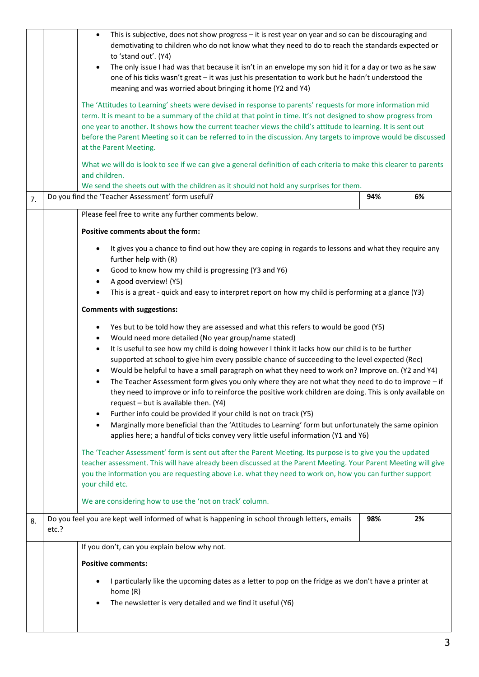|    |       | This is subjective, does not show progress - it is rest year on year and so can be discouraging and<br>$\bullet$<br>demotivating to children who do not know what they need to do to reach the standards expected or<br>to 'stand out'. (Y4)<br>The only issue I had was that because it isn't in an envelope my son hid it for a day or two as he saw<br>one of his ticks wasn't great - it was just his presentation to work but he hadn't understood the<br>meaning and was worried about bringing it home (Y2 and Y4)                                                                                                                                                                                                                                                                                                                                                                                                                                                                                                    |     |    |
|----|-------|------------------------------------------------------------------------------------------------------------------------------------------------------------------------------------------------------------------------------------------------------------------------------------------------------------------------------------------------------------------------------------------------------------------------------------------------------------------------------------------------------------------------------------------------------------------------------------------------------------------------------------------------------------------------------------------------------------------------------------------------------------------------------------------------------------------------------------------------------------------------------------------------------------------------------------------------------------------------------------------------------------------------------|-----|----|
|    |       | The 'Attitudes to Learning' sheets were devised in response to parents' requests for more information mid<br>term. It is meant to be a summary of the child at that point in time. It's not designed to show progress from<br>one year to another. It shows how the current teacher views the child's attitude to learning. It is sent out<br>before the Parent Meeting so it can be referred to in the discussion. Any targets to improve would be discussed<br>at the Parent Meeting.                                                                                                                                                                                                                                                                                                                                                                                                                                                                                                                                      |     |    |
|    |       | What we will do is look to see if we can give a general definition of each criteria to make this clearer to parents<br>and children.<br>We send the sheets out with the children as it should not hold any surprises for them.                                                                                                                                                                                                                                                                                                                                                                                                                                                                                                                                                                                                                                                                                                                                                                                               |     |    |
| 7. |       | Do you find the 'Teacher Assessment' form useful?                                                                                                                                                                                                                                                                                                                                                                                                                                                                                                                                                                                                                                                                                                                                                                                                                                                                                                                                                                            | 94% | 6% |
|    |       | Please feel free to write any further comments below.                                                                                                                                                                                                                                                                                                                                                                                                                                                                                                                                                                                                                                                                                                                                                                                                                                                                                                                                                                        |     |    |
|    |       | Positive comments about the form:                                                                                                                                                                                                                                                                                                                                                                                                                                                                                                                                                                                                                                                                                                                                                                                                                                                                                                                                                                                            |     |    |
|    |       | It gives you a chance to find out how they are coping in regards to lessons and what they require any<br>further help with (R)<br>Good to know how my child is progressing (Y3 and Y6)<br>A good overview! (Y5)<br>This is a great - quick and easy to interpret report on how my child is performing at a glance (Y3)                                                                                                                                                                                                                                                                                                                                                                                                                                                                                                                                                                                                                                                                                                       |     |    |
|    |       | <b>Comments with suggestions:</b>                                                                                                                                                                                                                                                                                                                                                                                                                                                                                                                                                                                                                                                                                                                                                                                                                                                                                                                                                                                            |     |    |
|    |       | Yes but to be told how they are assessed and what this refers to would be good (Y5)<br>$\bullet$<br>Would need more detailed (No year group/name stated)<br>$\bullet$<br>It is useful to see how my child is doing however I think it lacks how our child is to be further<br>$\bullet$<br>supported at school to give him every possible chance of succeeding to the level expected (Rec)<br>Would be helpful to have a small paragraph on what they need to work on? Improve on. (Y2 and Y4)<br>The Teacher Assessment form gives you only where they are not what they need to do to improve - if<br>they need to improve or info to reinforce the positive work children are doing. This is only available on<br>request - but is available then. (Y4)<br>Further info could be provided if your child is not on track (Y5)<br>Marginally more beneficial than the 'Attitudes to Learning' form but unfortunately the same opinion<br>applies here; a handful of ticks convey very little useful information (Y1 and Y6) |     |    |
|    |       | The 'Teacher Assessment' form is sent out after the Parent Meeting. Its purpose is to give you the updated<br>teacher assessment. This will have already been discussed at the Parent Meeting. Your Parent Meeting will give<br>you the information you are requesting above i.e. what they need to work on, how you can further support<br>your child etc.                                                                                                                                                                                                                                                                                                                                                                                                                                                                                                                                                                                                                                                                  |     |    |
|    |       | We are considering how to use the 'not on track' column.                                                                                                                                                                                                                                                                                                                                                                                                                                                                                                                                                                                                                                                                                                                                                                                                                                                                                                                                                                     |     |    |
| 8. | etc.? | Do you feel you are kept well informed of what is happening in school through letters, emails                                                                                                                                                                                                                                                                                                                                                                                                                                                                                                                                                                                                                                                                                                                                                                                                                                                                                                                                | 98% | 2% |
|    |       | If you don't, can you explain below why not.                                                                                                                                                                                                                                                                                                                                                                                                                                                                                                                                                                                                                                                                                                                                                                                                                                                                                                                                                                                 |     |    |
|    |       | <b>Positive comments:</b>                                                                                                                                                                                                                                                                                                                                                                                                                                                                                                                                                                                                                                                                                                                                                                                                                                                                                                                                                                                                    |     |    |
|    |       | I particularly like the upcoming dates as a letter to pop on the fridge as we don't have a printer at<br>home (R)<br>The newsletter is very detailed and we find it useful (Y6)                                                                                                                                                                                                                                                                                                                                                                                                                                                                                                                                                                                                                                                                                                                                                                                                                                              |     |    |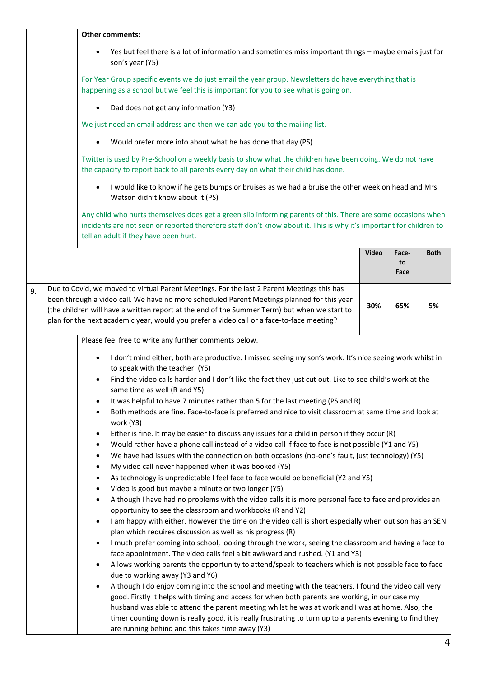|    | <b>Other comments:</b>                                                                                                                                                                                                                                                                                                                                                                |              |                     |             |
|----|---------------------------------------------------------------------------------------------------------------------------------------------------------------------------------------------------------------------------------------------------------------------------------------------------------------------------------------------------------------------------------------|--------------|---------------------|-------------|
|    | Yes but feel there is a lot of information and sometimes miss important things - maybe emails just for<br>son's year (Y5)                                                                                                                                                                                                                                                             |              |                     |             |
|    | For Year Group specific events we do just email the year group. Newsletters do have everything that is<br>happening as a school but we feel this is important for you to see what is going on.                                                                                                                                                                                        |              |                     |             |
|    | Dad does not get any information (Y3)                                                                                                                                                                                                                                                                                                                                                 |              |                     |             |
|    | We just need an email address and then we can add you to the mailing list.                                                                                                                                                                                                                                                                                                            |              |                     |             |
|    | Would prefer more info about what he has done that day (PS)                                                                                                                                                                                                                                                                                                                           |              |                     |             |
|    | Twitter is used by Pre-School on a weekly basis to show what the children have been doing. We do not have<br>the capacity to report back to all parents every day on what their child has done.                                                                                                                                                                                       |              |                     |             |
|    | I would like to know if he gets bumps or bruises as we had a bruise the other week on head and Mrs<br>Watson didn't know about it (PS)                                                                                                                                                                                                                                                |              |                     |             |
|    | Any child who hurts themselves does get a green slip informing parents of this. There are some occasions when<br>incidents are not seen or reported therefore staff don't know about it. This is why it's important for children to<br>tell an adult if they have been hurt.                                                                                                          |              |                     |             |
|    |                                                                                                                                                                                                                                                                                                                                                                                       | <b>Video</b> | Face-<br>to<br>Face | <b>Both</b> |
| 9. | Due to Covid, we moved to virtual Parent Meetings. For the last 2 Parent Meetings this has<br>been through a video call. We have no more scheduled Parent Meetings planned for this year<br>(the children will have a written report at the end of the Summer Term) but when we start to<br>plan for the next academic year, would you prefer a video call or a face-to-face meeting? | 30%          | 65%                 | 5%          |
|    | Please feel free to write any further comments below.                                                                                                                                                                                                                                                                                                                                 |              |                     |             |
|    | I don't mind either, both are productive. I missed seeing my son's work. It's nice seeing work whilst in<br>٠<br>to speak with the teacher. (Y5)<br>Find the video calls harder and I don't like the fact they just cut out. Like to see child's work at the<br>same time as well (R and Y5)                                                                                          |              |                     |             |
|    | It was helpful to have 7 minutes rather than 5 for the last meeting (PS and R)<br>$\bullet$<br>Both methods are fine. Face-to-face is preferred and nice to visit classroom at same time and look at                                                                                                                                                                                  |              |                     |             |
|    | work (Y3)<br>Either is fine. It may be easier to discuss any issues for a child in person if they occur (R)<br>$\bullet$                                                                                                                                                                                                                                                              |              |                     |             |
|    | Would rather have a phone call instead of a video call if face to face is not possible (Y1 and Y5)<br>٠<br>We have had issues with the connection on both occasions (no-one's fault, just technology) (Y5)<br>٠                                                                                                                                                                       |              |                     |             |
|    | My video call never happened when it was booked (Y5)<br>٠                                                                                                                                                                                                                                                                                                                             |              |                     |             |
|    | As technology is unpredictable I feel face to face would be beneficial (Y2 and Y5)<br>$\bullet$<br>Video is good but maybe a minute or two longer (Y5)<br>٠                                                                                                                                                                                                                           |              |                     |             |
|    | Although I have had no problems with the video calls it is more personal face to face and provides an<br>٠<br>opportunity to see the classroom and workbooks (R and Y2)                                                                                                                                                                                                               |              |                     |             |
|    | I am happy with either. However the time on the video call is short especially when out son has an SEN<br>$\bullet$                                                                                                                                                                                                                                                                   |              |                     |             |
|    | plan which requires discussion as well as his progress (R)<br>I much prefer coming into school, looking through the work, seeing the classroom and having a face to<br>$\bullet$                                                                                                                                                                                                      |              |                     |             |
|    | face appointment. The video calls feel a bit awkward and rushed. (Y1 and Y3)                                                                                                                                                                                                                                                                                                          |              |                     |             |
|    | Allows working parents the opportunity to attend/speak to teachers which is not possible face to face<br>$\bullet$<br>due to working away (Y3 and Y6)                                                                                                                                                                                                                                 |              |                     |             |
|    | Although I do enjoy coming into the school and meeting with the teachers, I found the video call very<br>good. Firstly it helps with timing and access for when both parents are working, in our case my                                                                                                                                                                              |              |                     |             |
|    | husband was able to attend the parent meeting whilst he was at work and I was at home. Also, the                                                                                                                                                                                                                                                                                      |              |                     |             |
|    | timer counting down is really good, it is really frustrating to turn up to a parents evening to find they<br>are running behind and this takes time away (Y3)                                                                                                                                                                                                                         |              |                     |             |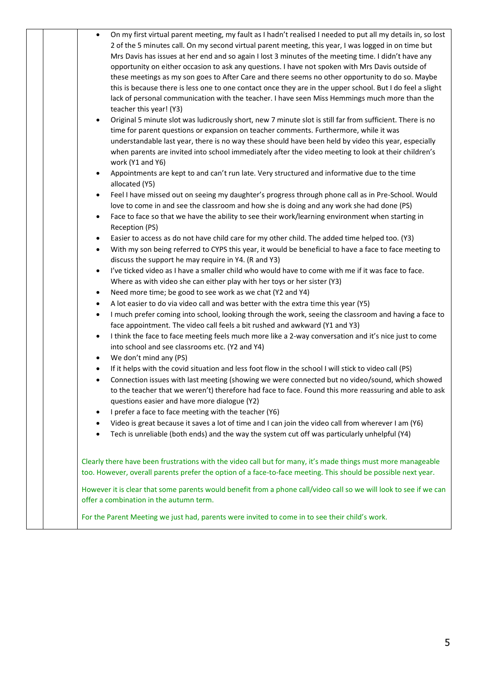| On my first virtual parent meeting, my fault as I hadn't realised I needed to put all my details in, so lost<br>2 of the 5 minutes call. On my second virtual parent meeting, this year, I was logged in on time but<br>Mrs Davis has issues at her end and so again I lost 3 minutes of the meeting time. I didn't have any<br>opportunity on either occasion to ask any questions. I have not spoken with Mrs Davis outside of<br>these meetings as my son goes to After Care and there seems no other opportunity to do so. Maybe<br>this is because there is less one to one contact once they are in the upper school. But I do feel a slight<br>lack of personal communication with the teacher. I have seen Miss Hemmings much more than the<br>teacher this year! (Y3)<br>Original 5 minute slot was ludicrously short, new 7 minute slot is still far from sufficient. There is no<br>$\bullet$<br>time for parent questions or expansion on teacher comments. Furthermore, while it was<br>understandable last year, there is no way these should have been held by video this year, especially<br>when parents are invited into school immediately after the video meeting to look at their children's<br>work (Y1 and Y6)<br>Appointments are kept to and can't run late. Very structured and informative due to the time<br>$\bullet$<br>allocated (Y5)<br>Feel I have missed out on seeing my daughter's progress through phone call as in Pre-School. Would<br>$\bullet$<br>love to come in and see the classroom and how she is doing and any work she had done (PS)<br>Face to face so that we have the ability to see their work/learning environment when starting in<br>$\bullet$<br>Reception (PS)<br>Easier to access as do not have child care for my other child. The added time helped too. (Y3)<br>$\bullet$<br>With my son being referred to CYPS this year, it would be beneficial to have a face to face meeting to<br>$\bullet$<br>discuss the support he may require in Y4. (R and Y3)<br>I've ticked video as I have a smaller child who would have to come with me if it was face to face.<br>$\bullet$<br>Where as with video she can either play with her toys or her sister (Y3)<br>Need more time; be good to see work as we chat (Y2 and Y4)<br>$\bullet$<br>A lot easier to do via video call and was better with the extra time this year (Y5)<br>$\bullet$<br>I much prefer coming into school, looking through the work, seeing the classroom and having a face to<br>$\bullet$<br>face appointment. The video call feels a bit rushed and awkward (Y1 and Y3)<br>I think the face to face meeting feels much more like a 2-way conversation and it's nice just to come<br>$\bullet$<br>into school and see classrooms etc. (Y2 and Y4)<br>We don't mind any (PS)<br>$\bullet$<br>If it helps with the covid situation and less foot flow in the school I will stick to video call (PS)<br>$\bullet$<br>Connection issues with last meeting (showing we were connected but no video/sound, which showed<br>$\bullet$<br>to the teacher that we weren't) therefore had face to face. Found this more reassuring and able to ask<br>questions easier and have more dialogue (Y2)<br>I prefer a face to face meeting with the teacher (Y6)<br>Video is great because it saves a lot of time and I can join the video call from wherever I am (Y6) |
|------------------------------------------------------------------------------------------------------------------------------------------------------------------------------------------------------------------------------------------------------------------------------------------------------------------------------------------------------------------------------------------------------------------------------------------------------------------------------------------------------------------------------------------------------------------------------------------------------------------------------------------------------------------------------------------------------------------------------------------------------------------------------------------------------------------------------------------------------------------------------------------------------------------------------------------------------------------------------------------------------------------------------------------------------------------------------------------------------------------------------------------------------------------------------------------------------------------------------------------------------------------------------------------------------------------------------------------------------------------------------------------------------------------------------------------------------------------------------------------------------------------------------------------------------------------------------------------------------------------------------------------------------------------------------------------------------------------------------------------------------------------------------------------------------------------------------------------------------------------------------------------------------------------------------------------------------------------------------------------------------------------------------------------------------------------------------------------------------------------------------------------------------------------------------------------------------------------------------------------------------------------------------------------------------------------------------------------------------------------------------------------------------------------------------------------------------------------------------------------------------------------------------------------------------------------------------------------------------------------------------------------------------------------------------------------------------------------------------------------------------------------------------------------------------------------------------------------------------------------------------------------------------------------------------------------------------------------------------------------------------------------------------------------------------------------------------------------------------------------------------------------------------------------------------------------------------------------------------------------------------------------------------------------------------------------------------------------------------------------------------------------|
| Tech is unreliable (both ends) and the way the system cut off was particularly unhelpful (Y4)                                                                                                                                                                                                                                                                                                                                                                                                                                                                                                                                                                                                                                                                                                                                                                                                                                                                                                                                                                                                                                                                                                                                                                                                                                                                                                                                                                                                                                                                                                                                                                                                                                                                                                                                                                                                                                                                                                                                                                                                                                                                                                                                                                                                                                                                                                                                                                                                                                                                                                                                                                                                                                                                                                                                                                                                                                                                                                                                                                                                                                                                                                                                                                                                                                                                                            |
| Clearly there have been frustrations with the video call but for many, it's made things must more manageable<br>too. However, overall parents prefer the option of a face-to-face meeting. This should be possible next year.                                                                                                                                                                                                                                                                                                                                                                                                                                                                                                                                                                                                                                                                                                                                                                                                                                                                                                                                                                                                                                                                                                                                                                                                                                                                                                                                                                                                                                                                                                                                                                                                                                                                                                                                                                                                                                                                                                                                                                                                                                                                                                                                                                                                                                                                                                                                                                                                                                                                                                                                                                                                                                                                                                                                                                                                                                                                                                                                                                                                                                                                                                                                                            |
| However it is clear that some parents would benefit from a phone call/video call so we will look to see if we can<br>offer a combination in the autumn term.                                                                                                                                                                                                                                                                                                                                                                                                                                                                                                                                                                                                                                                                                                                                                                                                                                                                                                                                                                                                                                                                                                                                                                                                                                                                                                                                                                                                                                                                                                                                                                                                                                                                                                                                                                                                                                                                                                                                                                                                                                                                                                                                                                                                                                                                                                                                                                                                                                                                                                                                                                                                                                                                                                                                                                                                                                                                                                                                                                                                                                                                                                                                                                                                                             |
| For the Parent Meeting we just had, parents were invited to come in to see their child's work.                                                                                                                                                                                                                                                                                                                                                                                                                                                                                                                                                                                                                                                                                                                                                                                                                                                                                                                                                                                                                                                                                                                                                                                                                                                                                                                                                                                                                                                                                                                                                                                                                                                                                                                                                                                                                                                                                                                                                                                                                                                                                                                                                                                                                                                                                                                                                                                                                                                                                                                                                                                                                                                                                                                                                                                                                                                                                                                                                                                                                                                                                                                                                                                                                                                                                           |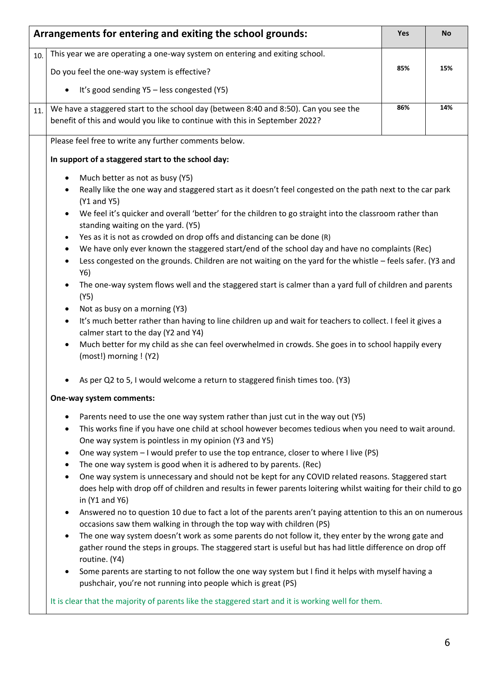|     | Arrangements for entering and exiting the school grounds:                                                                                                                                                                                             | Yes | <b>No</b> |
|-----|-------------------------------------------------------------------------------------------------------------------------------------------------------------------------------------------------------------------------------------------------------|-----|-----------|
| 10. | This year we are operating a one-way system on entering and exiting school.                                                                                                                                                                           |     |           |
|     | Do you feel the one-way system is effective?                                                                                                                                                                                                          | 85% | 15%       |
|     | It's good sending Y5 - less congested (Y5)                                                                                                                                                                                                            |     |           |
| 11. | We have a staggered start to the school day (between 8:40 and 8:50). Can you see the<br>benefit of this and would you like to continue with this in September 2022?                                                                                   | 86% | 14%       |
|     | Please feel free to write any further comments below.                                                                                                                                                                                                 |     |           |
|     | In support of a staggered start to the school day:                                                                                                                                                                                                    |     |           |
|     | Much better as not as busy (Y5)                                                                                                                                                                                                                       |     |           |
|     | Really like the one way and staggered start as it doesn't feel congested on the path next to the car park<br>(Y1 and Y5)                                                                                                                              |     |           |
|     | We feel it's quicker and overall 'better' for the children to go straight into the classroom rather than<br>standing waiting on the yard. (Y5)                                                                                                        |     |           |
|     | Yes as it is not as crowded on drop offs and distancing can be done (R)                                                                                                                                                                               |     |           |
|     | We have only ever known the staggered start/end of the school day and have no complaints (Rec)<br>٠                                                                                                                                                   |     |           |
|     | Less congested on the grounds. Children are not waiting on the yard for the whistle - feels safer. (Y3 and<br>Y6)                                                                                                                                     |     |           |
|     | The one-way system flows well and the staggered start is calmer than a yard full of children and parents<br>(Y5)                                                                                                                                      |     |           |
|     | Not as busy on a morning (Y3)                                                                                                                                                                                                                         |     |           |
|     | It's much better rather than having to line children up and wait for teachers to collect. I feel it gives a<br>$\bullet$<br>calmer start to the day (Y2 and Y4)                                                                                       |     |           |
|     | Much better for my child as she can feel overwhelmed in crowds. She goes in to school happily every<br>(most!) morning ! (Y2)                                                                                                                         |     |           |
|     | As per Q2 to 5, I would welcome a return to staggered finish times too. (Y3)                                                                                                                                                                          |     |           |
|     | One-way system comments:                                                                                                                                                                                                                              |     |           |
|     | Parents need to use the one way system rather than just cut in the way out (Y5)                                                                                                                                                                       |     |           |
|     | This works fine if you have one child at school however becomes tedious when you need to wait around.<br>One way system is pointless in my opinion (Y3 and Y5)                                                                                        |     |           |
|     | One way system - I would prefer to use the top entrance, closer to where I live (PS)                                                                                                                                                                  |     |           |
|     | The one way system is good when it is adhered to by parents. (Rec)                                                                                                                                                                                    |     |           |
|     | One way system is unnecessary and should not be kept for any COVID related reasons. Staggered start<br>$\bullet$<br>does help with drop off of children and results in fewer parents loitering whilst waiting for their child to go<br>in (Y1 and Y6) |     |           |
|     | Answered no to question 10 due to fact a lot of the parents aren't paying attention to this an on numerous<br>occasions saw them walking in through the top way with children (PS)                                                                    |     |           |
|     | The one way system doesn't work as some parents do not follow it, they enter by the wrong gate and                                                                                                                                                    |     |           |
|     | gather round the steps in groups. The staggered start is useful but has had little difference on drop off<br>routine. (Y4)                                                                                                                            |     |           |
|     | Some parents are starting to not follow the one way system but I find it helps with myself having a<br>pushchair, you're not running into people which is great (PS)                                                                                  |     |           |
|     | It is clear that the majority of parents like the staggered start and it is working well for them.                                                                                                                                                    |     |           |
|     |                                                                                                                                                                                                                                                       |     |           |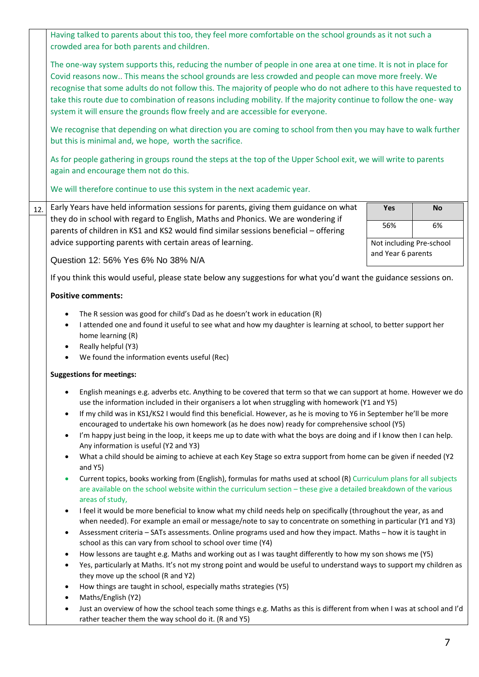|     | Having talked to parents about this too, they feel more comfortable on the school grounds as it not such a<br>crowded area for both parents and children.                                                                                                                                                                                                                                                                                                                                                                                                                                                                       |                          |           |
|-----|---------------------------------------------------------------------------------------------------------------------------------------------------------------------------------------------------------------------------------------------------------------------------------------------------------------------------------------------------------------------------------------------------------------------------------------------------------------------------------------------------------------------------------------------------------------------------------------------------------------------------------|--------------------------|-----------|
|     | The one-way system supports this, reducing the number of people in one area at one time. It is not in place for<br>Covid reasons now This means the school grounds are less crowded and people can move more freely. We<br>recognise that some adults do not follow this. The majority of people who do not adhere to this have requested to<br>take this route due to combination of reasons including mobility. If the majority continue to follow the one-way<br>system it will ensure the grounds flow freely and are accessible for everyone.                                                                              |                          |           |
|     | We recognise that depending on what direction you are coming to school from then you may have to walk further<br>but this is minimal and, we hope, worth the sacrifice.                                                                                                                                                                                                                                                                                                                                                                                                                                                         |                          |           |
|     | As for people gathering in groups round the steps at the top of the Upper School exit, we will write to parents<br>again and encourage them not do this.                                                                                                                                                                                                                                                                                                                                                                                                                                                                        |                          |           |
|     | We will therefore continue to use this system in the next academic year.                                                                                                                                                                                                                                                                                                                                                                                                                                                                                                                                                        |                          |           |
| 12. | Early Years have held information sessions for parents, giving them guidance on what<br>they do in school with regard to English, Maths and Phonics. We are wondering if                                                                                                                                                                                                                                                                                                                                                                                                                                                        | Yes                      | <b>No</b> |
|     | parents of children in KS1 and KS2 would find similar sessions beneficial - offering                                                                                                                                                                                                                                                                                                                                                                                                                                                                                                                                            | 56%                      | 6%        |
|     | advice supporting parents with certain areas of learning.                                                                                                                                                                                                                                                                                                                                                                                                                                                                                                                                                                       | Not including Pre-school |           |
|     | Question 12: 56% Yes 6% No 38% N/A                                                                                                                                                                                                                                                                                                                                                                                                                                                                                                                                                                                              | and Year 6 parents       |           |
|     | If you think this would useful, please state below any suggestions for what you'd want the guidance sessions on.                                                                                                                                                                                                                                                                                                                                                                                                                                                                                                                |                          |           |
|     | <b>Positive comments:</b>                                                                                                                                                                                                                                                                                                                                                                                                                                                                                                                                                                                                       |                          |           |
|     | I attended one and found it useful to see what and how my daughter is learning at school, to better support her<br>home learning (R)<br>Really helpful (Y3)<br>$\bullet$<br>We found the information events useful (Rec)<br>$\bullet$                                                                                                                                                                                                                                                                                                                                                                                           |                          |           |
|     | <b>Suggestions for meetings:</b>                                                                                                                                                                                                                                                                                                                                                                                                                                                                                                                                                                                                |                          |           |
|     | English meanings e.g. adverbs etc. Anything to be covered that term so that we can support at home. However we do<br>use the information included in their organisers a lot when struggling with homework (Y1 and Y5)<br>If my child was in KS1/KS2 I would find this beneficial. However, as he is moving to Y6 in September he'll be more<br>$\bullet$<br>encouraged to undertake his own homework (as he does now) ready for comprehensive school (Y5)<br>I'm happy just being in the loop, it keeps me up to date with what the boys are doing and if I know then I can help.<br>٠<br>Any information is useful (Y2 and Y3) |                          |           |
|     | What a child should be aiming to achieve at each Key Stage so extra support from home can be given if needed (Y2<br>$\bullet$<br>and Y5)                                                                                                                                                                                                                                                                                                                                                                                                                                                                                        |                          |           |
|     | Current topics, books working from (English), formulas for maths used at school (R) Curriculum plans for all subjects<br>are available on the school website within the curriculum section - these give a detailed breakdown of the various<br>areas of study,                                                                                                                                                                                                                                                                                                                                                                  |                          |           |
|     | I feel it would be more beneficial to know what my child needs help on specifically (throughout the year, as and<br>$\bullet$<br>when needed). For example an email or message/note to say to concentrate on something in particular (Y1 and Y3)<br>Assessment criteria - SATs assessments. Online programs used and how they impact. Maths - how it is taught in<br>٠                                                                                                                                                                                                                                                          |                          |           |
|     | school as this can vary from school to school over time (Y4)                                                                                                                                                                                                                                                                                                                                                                                                                                                                                                                                                                    |                          |           |
|     | How lessons are taught e.g. Maths and working out as I was taught differently to how my son shows me (Y5)<br>$\bullet$                                                                                                                                                                                                                                                                                                                                                                                                                                                                                                          |                          |           |
|     | Yes, particularly at Maths. It's not my strong point and would be useful to understand ways to support my children as<br>$\bullet$<br>they move up the school (R and Y2)                                                                                                                                                                                                                                                                                                                                                                                                                                                        |                          |           |
|     | How things are taught in school, especially maths strategies (Y5)<br>٠                                                                                                                                                                                                                                                                                                                                                                                                                                                                                                                                                          |                          |           |
|     | Maths/English (Y2)<br>٠                                                                                                                                                                                                                                                                                                                                                                                                                                                                                                                                                                                                         |                          |           |
|     | Just an overview of how the school teach some things e.g. Maths as this is different from when I was at school and I'd<br>٠<br>rather teacher them the way school do it. (R and Y5)                                                                                                                                                                                                                                                                                                                                                                                                                                             |                          |           |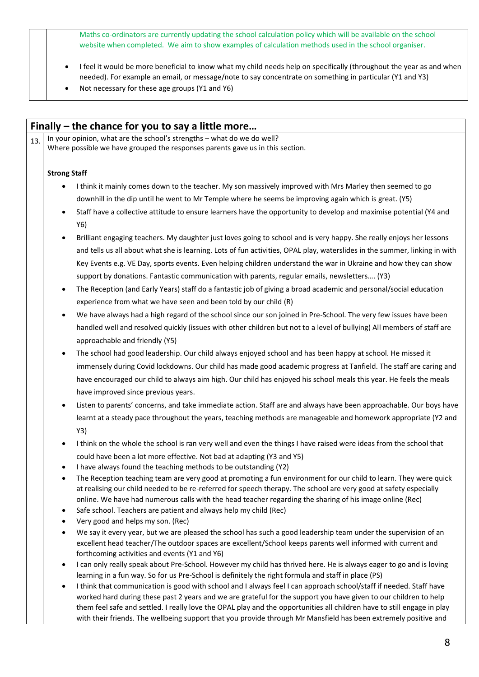Maths co-ordinators are currently updating the school calculation policy which will be available on the school website when completed. We aim to show examples of calculation methods used in the school organiser.

- I feel it would be more beneficial to know what my child needs help on specifically (throughout the year as and when needed). For example an email, or message/note to say concentrate on something in particular (Y1 and Y3)
- Not necessary for these age groups (Y1 and Y6)

| 13. | In your opinion, what are the school's strengths - what do we do well?<br>Where possible we have grouped the responses parents gave us in this section.                                                                                                                         |
|-----|---------------------------------------------------------------------------------------------------------------------------------------------------------------------------------------------------------------------------------------------------------------------------------|
|     | <b>Strong Staff</b>                                                                                                                                                                                                                                                             |
|     | I think it mainly comes down to the teacher. My son massively improved with Mrs Marley then seemed to go                                                                                                                                                                        |
|     | downhill in the dip until he went to Mr Temple where he seems be improving again which is great. (Y5)                                                                                                                                                                           |
|     | Staff have a collective attitude to ensure learners have the opportunity to develop and maximise potential (Y4 and<br>Y6)                                                                                                                                                       |
|     | Brilliant engaging teachers. My daughter just loves going to school and is very happy. She really enjoys her lessons                                                                                                                                                            |
|     | and tells us all about what she is learning. Lots of fun activities, OPAL play, waterslides in the summer, linking in with                                                                                                                                                      |
|     | Key Events e.g. VE Day, sports events. Even helping children understand the war in Ukraine and how they can show                                                                                                                                                                |
|     | support by donations. Fantastic communication with parents, regular emails, newsletters (Y3)                                                                                                                                                                                    |
|     | The Reception (and Early Years) staff do a fantastic job of giving a broad academic and personal/social education<br>$\bullet$                                                                                                                                                  |
|     | experience from what we have seen and been told by our child (R)                                                                                                                                                                                                                |
|     | We have always had a high regard of the school since our son joined in Pre-School. The very few issues have been                                                                                                                                                                |
|     | handled well and resolved quickly (issues with other children but not to a level of bullying) All members of staff are                                                                                                                                                          |
|     | approachable and friendly (Y5)                                                                                                                                                                                                                                                  |
|     | The school had good leadership. Our child always enjoyed school and has been happy at school. He missed it                                                                                                                                                                      |
|     | immensely during Covid lockdowns. Our child has made good academic progress at Tanfield. The staff are caring and                                                                                                                                                               |
|     | have encouraged our child to always aim high. Our child has enjoyed his school meals this year. He feels the meals                                                                                                                                                              |
|     |                                                                                                                                                                                                                                                                                 |
|     | have improved since previous years.                                                                                                                                                                                                                                             |
|     | Listen to parents' concerns, and take immediate action. Staff are and always have been approachable. Our boys have                                                                                                                                                              |
|     | learnt at a steady pace throughout the years, teaching methods are manageable and homework appropriate (Y2 and                                                                                                                                                                  |
|     | Y3)                                                                                                                                                                                                                                                                             |
|     | I think on the whole the school is ran very well and even the things I have raised were ideas from the school that                                                                                                                                                              |
|     | could have been a lot more effective. Not bad at adapting (Y3 and Y5)<br>I have always found the teaching methods to be outstanding (Y2)                                                                                                                                        |
|     | The Reception teaching team are very good at promoting a fun environment for our child to learn. They were quick                                                                                                                                                                |
|     | at realising our child needed to be re-referred for speech therapy. The school are very good at safety especially                                                                                                                                                               |
|     | online. We have had numerous calls with the head teacher regarding the sharing of his image online (Rec)                                                                                                                                                                        |
|     | Safe school. Teachers are patient and always help my child (Rec)<br>$\bullet$                                                                                                                                                                                                   |
|     | Very good and helps my son. (Rec)                                                                                                                                                                                                                                               |
|     | We say it every year, but we are pleased the school has such a good leadership team under the supervision of an<br>excellent head teacher/The outdoor spaces are excellent/School keeps parents well informed with current and<br>forthcoming activities and events (Y1 and Y6) |
|     | I can only really speak about Pre-School. However my child has thrived here. He is always eager to go and is loving                                                                                                                                                             |
|     | learning in a fun way. So for us Pre-School is definitely the right formula and staff in place (PS)                                                                                                                                                                             |
|     | I think that communication is good with school and I always feel I can approach school/staff if needed. Staff have                                                                                                                                                              |
|     | worked hard during these past 2 years and we are grateful for the support you have given to our children to help                                                                                                                                                                |
|     | them feel safe and settled. I really love the OPAL play and the opportunities all children have to still engage in play                                                                                                                                                         |
|     | with their friends. The wellbeing support that you provide through Mr Mansfield has been extremely positive and                                                                                                                                                                 |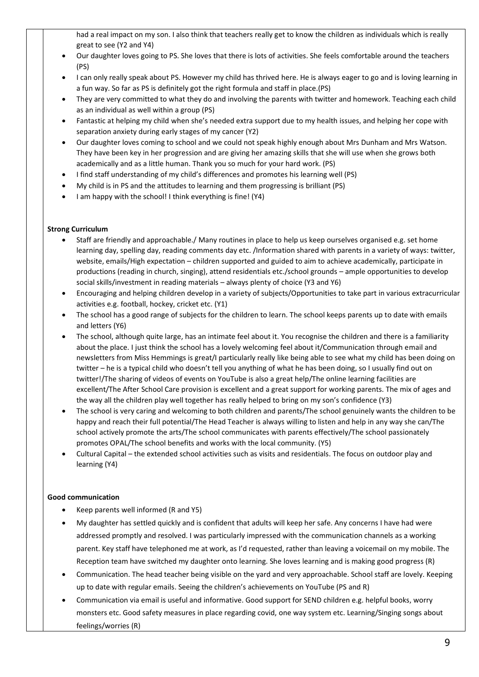had a real impact on my son. I also think that teachers really get to know the children as individuals which is really great to see (Y2 and Y4)

- Our daughter loves going to PS. She loves that there is lots of activities. She feels comfortable around the teachers (PS)
- I can only really speak about PS. However my child has thrived here. He is always eager to go and is loving learning in a fun way. So far as PS is definitely got the right formula and staff in place.(PS)
- They are very committed to what they do and involving the parents with twitter and homework. Teaching each child as an individual as well within a group (PS)
- Fantastic at helping my child when she's needed extra support due to my health issues, and helping her cope with separation anxiety during early stages of my cancer (Y2)
- Our daughter loves coming to school and we could not speak highly enough about Mrs Dunham and Mrs Watson. They have been key in her progression and are giving her amazing skills that she will use when she grows both academically and as a little human. Thank you so much for your hard work. (PS)
- I find staff understanding of my child's differences and promotes his learning well (PS)
- My child is in PS and the attitudes to learning and them progressing is brilliant (PS)
- I am happy with the school! I think everything is fine! (Y4)

### **Strong Curriculum**

- Staff are friendly and approachable./ Many routines in place to help us keep ourselves organised e.g. set home learning day, spelling day, reading comments day etc. /Information shared with parents in a variety of ways: twitter, website, emails/High expectation – children supported and guided to aim to achieve academically, participate in productions (reading in church, singing), attend residentials etc./school grounds – ample opportunities to develop social skills/investment in reading materials – always plenty of choice (Y3 and Y6)
- Encouraging and helping children develop in a variety of subjects/Opportunities to take part in various extracurricular activities e.g. football, hockey, cricket etc. (Y1)
- The school has a good range of subjects for the children to learn. The school keeps parents up to date with emails and letters (Y6)
- The school, although quite large, has an intimate feel about it. You recognise the children and there is a familiarity about the place. I just think the school has a lovely welcoming feel about it/Communication through email and newsletters from Miss Hemmings is great/I particularly really like being able to see what my child has been doing on twitter – he is a typical child who doesn't tell you anything of what he has been doing, so I usually find out on twitter!/The sharing of videos of events on YouTube is also a great help/The online learning facilities are excellent/The After School Care provision is excellent and a great support for working parents. The mix of ages and the way all the children play well together has really helped to bring on my son's confidence (Y3)
- The school is very caring and welcoming to both children and parents/The school genuinely wants the children to be happy and reach their full potential/The Head Teacher is always willing to listen and help in any way she can/The school actively promote the arts/The school communicates with parents effectively/The school passionately promotes OPAL/The school benefits and works with the local community. (Y5)
- Cultural Capital the extended school activities such as visits and residentials. The focus on outdoor play and learning (Y4)

### **Good communication**

- Keep parents well informed (R and Y5)
- My daughter has settled quickly and is confident that adults will keep her safe. Any concerns I have had were addressed promptly and resolved. I was particularly impressed with the communication channels as a working parent. Key staff have telephoned me at work, as I'd requested, rather than leaving a voicemail on my mobile. The Reception team have switched my daughter onto learning. She loves learning and is making good progress (R)
- Communication. The head teacher being visible on the yard and very approachable. School staff are lovely. Keeping up to date with regular emails. Seeing the children's achievements on YouTube (PS and R)
- Communication via email is useful and informative. Good support for SEND children e.g. helpful books, worry monsters etc. Good safety measures in place regarding covid, one way system etc. Learning/Singing songs about feelings/worries (R)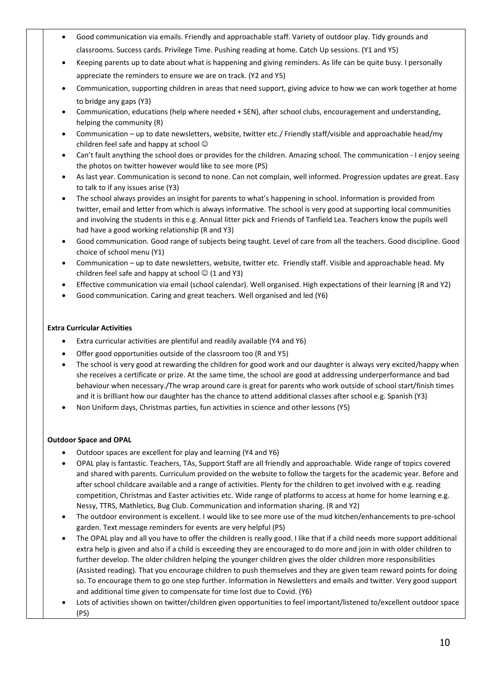- Good communication via emails. Friendly and approachable staff. Variety of outdoor play. Tidy grounds and classrooms. Success cards. Privilege Time. Pushing reading at home. Catch Up sessions. (Y1 and Y5)
- Keeping parents up to date about what is happening and giving reminders. As life can be quite busy. I personally appreciate the reminders to ensure we are on track. (Y2 and Y5)
- Communication, supporting children in areas that need support, giving advice to how we can work together at home to bridge any gaps (Y3)
- Communication, educations (help where needed + SEN), after school clubs, encouragement and understanding, helping the community (R)
- Communication up to date newsletters, website, twitter etc./ Friendly staff/visible and approachable head/my children feel safe and happy at school  $\odot$
- Can't fault anything the school does or provides for the children. Amazing school. The communication I enjoy seeing the photos on twitter however would like to see more (PS)
- As last year. Communication is second to none. Can not complain, well informed. Progression updates are great. Easy to talk to if any issues arise (Y3)
- The school always provides an insight for parents to what's happening in school. Information is provided from twitter, email and letter from which is always informative. The school is very good at supporting local communities and involving the students in this e.g. Annual litter pick and Friends of Tanfield Lea. Teachers know the pupils well had have a good working relationship (R and Y3)
- Good communication. Good range of subjects being taught. Level of care from all the teachers. Good discipline. Good choice of school menu (Y1)
- Communication up to date newsletters, website, twitter etc. Friendly staff. Visible and approachable head. My children feel safe and happy at school  $\odot$  (1 and Y3)
- Effective communication via email (school calendar). Well organised. High expectations of their learning (R and Y2)
- Good communication. Caring and great teachers. Well organised and led (Y6)

### **Extra Curricular Activities**

- Extra curricular activities are plentiful and readily available (Y4 and Y6)
- Offer good opportunities outside of the classroom too (R and Y5)
- The school is very good at rewarding the children for good work and our daughter is always very excited/happy when she receives a certificate or prize. At the same time, the school are good at addressing underperformance and bad behaviour when necessary./The wrap around care is great for parents who work outside of school start/finish times and it is brilliant how our daughter has the chance to attend additional classes after school e.g. Spanish (Y3)
- Non Uniform days, Christmas parties, fun activities in science and other lessons (Y5)

### **Outdoor Space and OPAL**

- Outdoor spaces are excellent for play and learning (Y4 and Y6)
- OPAL play is fantastic. Teachers, TAs, Support Staff are all friendly and approachable. Wide range of topics covered and shared with parents. Curriculum provided on the website to follow the targets for the academic year. Before and after school childcare available and a range of activities. Plenty for the children to get involved with e.g. reading competition, Christmas and Easter activities etc. Wide range of platforms to access at home for home learning e.g. Nessy, TTRS, Mathletics, Bug Club. Communication and information sharing. (R and Y2)
- The outdoor environment is excellent. I would like to see more use of the mud kitchen/enhancements to pre-school garden. Text message reminders for events are very helpful (PS)
- The OPAL play and all you have to offer the children is really good. I like that if a child needs more support additional extra help is given and also if a child is exceeding they are encouraged to do more and join in with older children to further develop. The older children helping the younger children gives the older children more responsibilities (Assisted reading). That you encourage children to push themselves and they are given team reward points for doing so. To encourage them to go one step further. Information in Newsletters and emails and twitter. Very good support and additional time given to compensate for time lost due to Covid. (Y6)
- Lots of activities shown on twitter/children given opportunities to feel important/listened to/excellent outdoor space (PS)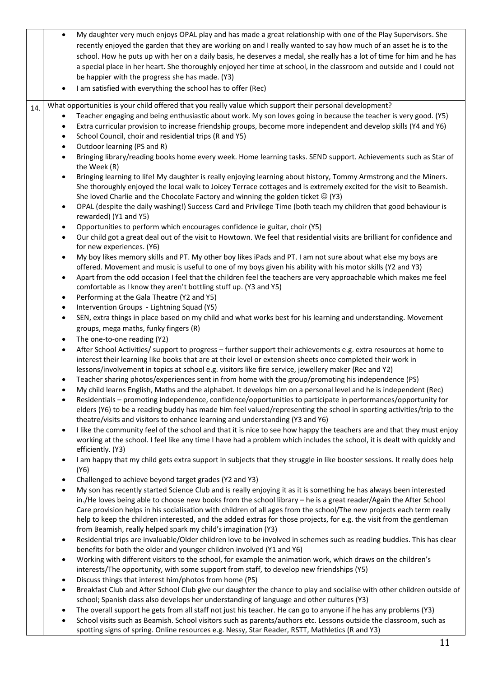|     | My daughter very much enjoys OPAL play and has made a great relationship with one of the Play Supervisors. She<br>$\bullet$<br>recently enjoyed the garden that they are working on and I really wanted to say how much of an asset he is to the<br>school. How he puts up with her on a daily basis, he deserves a medal, she really has a lot of time for him and he has                                                                                                                   |  |
|-----|----------------------------------------------------------------------------------------------------------------------------------------------------------------------------------------------------------------------------------------------------------------------------------------------------------------------------------------------------------------------------------------------------------------------------------------------------------------------------------------------|--|
|     | a special place in her heart. She thoroughly enjoyed her time at school, in the classroom and outside and I could not                                                                                                                                                                                                                                                                                                                                                                        |  |
|     | be happier with the progress she has made. (Y3)<br>I am satisfied with everything the school has to offer (Rec)                                                                                                                                                                                                                                                                                                                                                                              |  |
| 14. | What opportunities is your child offered that you really value which support their personal development?                                                                                                                                                                                                                                                                                                                                                                                     |  |
|     | Teacher engaging and being enthusiastic about work. My son loves going in because the teacher is very good. (Y5)<br>Extra curricular provision to increase friendship groups, become more independent and develop skills (Y4 and Y6)<br>٠<br>School Council, choir and residential trips (R and Y5)<br>$\bullet$<br>Outdoor learning (PS and R)<br>$\bullet$<br>Bringing library/reading books home every week. Home learning tasks. SEND support. Achievements such as Star of<br>$\bullet$ |  |
|     | the Week (R)<br>Bringing learning to life! My daughter is really enjoying learning about history, Tommy Armstrong and the Miners.<br>$\bullet$<br>She thoroughly enjoyed the local walk to Joicey Terrace cottages and is extremely excited for the visit to Beamish.<br>She loved Charlie and the Chocolate Factory and winning the golden ticket $\circledcirc$ (Y3)                                                                                                                       |  |
|     | OPAL (despite the daily washing!) Success Card and Privilege Time (both teach my children that good behaviour is<br>$\bullet$<br>rewarded) (Y1 and Y5)                                                                                                                                                                                                                                                                                                                                       |  |
|     | Opportunities to perform which encourages confidence ie guitar, choir (Y5)<br>$\bullet$<br>Our child got a great deal out of the visit to Howtown. We feel that residential visits are brilliant for confidence and<br>$\bullet$<br>for new experiences. (Y6)                                                                                                                                                                                                                                |  |
|     | My boy likes memory skills and PT. My other boy likes iPads and PT. I am not sure about what else my boys are<br>$\bullet$<br>offered. Movement and music is useful to one of my boys given his ability with his motor skills (Y2 and Y3)<br>Apart from the odd occasion I feel that the children feel the teachers are very approachable which makes me feel<br>$\bullet$                                                                                                                   |  |
|     | comfortable as I know they aren't bottling stuff up. (Y3 and Y5)<br>Performing at the Gala Theatre (Y2 and Y5)<br>$\bullet$                                                                                                                                                                                                                                                                                                                                                                  |  |
|     | Intervention Groups - Lightning Squad (Y5)<br>$\bullet$                                                                                                                                                                                                                                                                                                                                                                                                                                      |  |
|     | SEN, extra things in place based on my child and what works best for his learning and understanding. Movement<br>$\bullet$<br>groups, mega maths, funky fingers (R)                                                                                                                                                                                                                                                                                                                          |  |
|     | The one-to-one reading (Y2)<br>$\bullet$                                                                                                                                                                                                                                                                                                                                                                                                                                                     |  |
|     | After School Activities/ support to progress - further support their achievements e.g. extra resources at home to<br>$\bullet$<br>interest their learning like books that are at their level or extension sheets once completed their work in<br>lessons/involvement in topics at school e.g. visitors like fire service, jewellery maker (Rec and Y2)                                                                                                                                       |  |
|     | Teacher sharing photos/experiences sent in from home with the group/promoting his independence (PS)<br>$\bullet$                                                                                                                                                                                                                                                                                                                                                                             |  |
|     | My child learns English, Maths and the alphabet. It develops him on a personal level and he is independent (Rec)<br>Residentials – promoting independence, confidence/opportunities to participate in performances/opportunity for<br>elders (Y6) to be a reading buddy has made him feel valued/representing the school in sporting activities/trip to the<br>theatre/visits and visitors to enhance learning and understanding (Y3 and Y6)                                                 |  |
|     | I like the community feel of the school and that it is nice to see how happy the teachers are and that they must enjoy<br>$\bullet$<br>working at the school. I feel like any time I have had a problem which includes the school, it is dealt with quickly and<br>efficiently. (Y3)                                                                                                                                                                                                         |  |
|     | I am happy that my child gets extra support in subjects that they struggle in like booster sessions. It really does help<br>(Y6)                                                                                                                                                                                                                                                                                                                                                             |  |
|     | Challenged to achieve beyond target grades (Y2 and Y3)<br>$\bullet$<br>My son has recently started Science Club and is really enjoying it as it is something he has always been interested<br>$\bullet$                                                                                                                                                                                                                                                                                      |  |
|     | in./He loves being able to choose new books from the school library - he is a great reader/Again the After School<br>Care provision helps in his socialisation with children of all ages from the school/The new projects each term really<br>help to keep the children interested, and the added extras for those projects, for e.g. the visit from the gentleman<br>from Beamish, really helped spark my child's imagination (Y3)                                                          |  |
|     | Residential trips are invaluable/Older children love to be involved in schemes such as reading buddies. This has clear<br>$\bullet$<br>benefits for both the older and younger children involved (Y1 and Y6)                                                                                                                                                                                                                                                                                 |  |
|     | Working with different visitors to the school, for example the animation work, which draws on the children's<br>$\bullet$<br>interests/The opportunity, with some support from staff, to develop new friendships (Y5)                                                                                                                                                                                                                                                                        |  |
|     | Discuss things that interest him/photos from home (PS)<br>$\bullet$                                                                                                                                                                                                                                                                                                                                                                                                                          |  |
|     | Breakfast Club and After School Club give our daughter the chance to play and socialise with other children outside of<br>school; Spanish class also develops her understanding of language and other cultures (Y3)                                                                                                                                                                                                                                                                          |  |
|     | The overall support he gets from all staff not just his teacher. He can go to anyone if he has any problems (Y3)<br>$\bullet$<br>School visits such as Beamish. School visitors such as parents/authors etc. Lessons outside the classroom, such as<br>$\bullet$                                                                                                                                                                                                                             |  |

spotting signs of spring. Online resources e.g. Nessy, Star Reader, RSTT, Mathletics (R and Y3)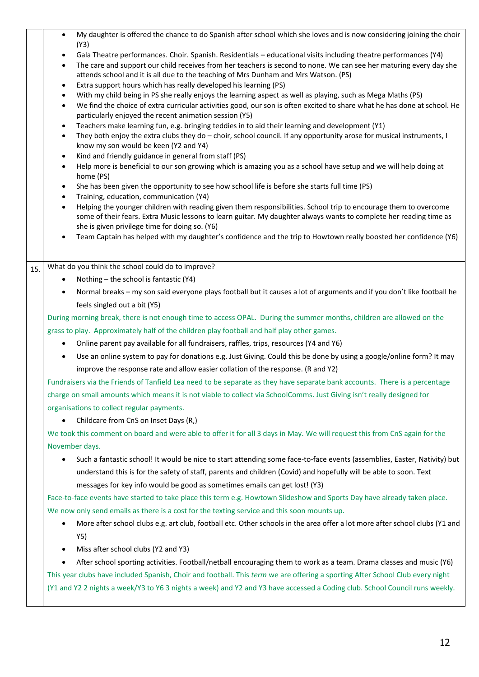|     | My daughter is offered the chance to do Spanish after school which she loves and is now considering joining the choir<br>$\bullet$<br>(Y3)                                                                                                                        |
|-----|-------------------------------------------------------------------------------------------------------------------------------------------------------------------------------------------------------------------------------------------------------------------|
|     | Gala Theatre performances. Choir. Spanish. Residentials - educational visits including theatre performances (Y4)<br>$\bullet$                                                                                                                                     |
|     | The care and support our child receives from her teachers is second to none. We can see her maturing every day she<br>$\bullet$                                                                                                                                   |
|     | attends school and it is all due to the teaching of Mrs Dunham and Mrs Watson. (PS)                                                                                                                                                                               |
|     | Extra support hours which has really developed his learning (PS)<br>$\bullet$                                                                                                                                                                                     |
|     | With my child being in PS she really enjoys the learning aspect as well as playing, such as Mega Maths (PS)<br>$\bullet$<br>We find the choice of extra curricular activities good, our son is often excited to share what he has done at school. He<br>$\bullet$ |
|     | particularly enjoyed the recent animation session (Y5)                                                                                                                                                                                                            |
|     | Teachers make learning fun, e.g. bringing teddies in to aid their learning and development (Y1)<br>$\bullet$                                                                                                                                                      |
|     | They both enjoy the extra clubs they do - choir, school council. If any opportunity arose for musical instruments, I<br>$\bullet$                                                                                                                                 |
|     | know my son would be keen (Y2 and Y4)                                                                                                                                                                                                                             |
|     | Kind and friendly guidance in general from staff (PS)<br>$\bullet$                                                                                                                                                                                                |
|     | Help more is beneficial to our son growing which is amazing you as a school have setup and we will help doing at<br>$\bullet$<br>home (PS)                                                                                                                        |
|     | She has been given the opportunity to see how school life is before she starts full time (PS)<br>$\bullet$                                                                                                                                                        |
|     | Training, education, communication (Y4)<br>$\bullet$                                                                                                                                                                                                              |
|     | Helping the younger children with reading given them responsibilities. School trip to encourage them to overcome<br>$\bullet$                                                                                                                                     |
|     | some of their fears. Extra Music lessons to learn guitar. My daughter always wants to complete her reading time as                                                                                                                                                |
|     | she is given privilege time for doing so. (Y6)                                                                                                                                                                                                                    |
|     | Team Captain has helped with my daughter's confidence and the trip to Howtown really boosted her confidence (Y6)                                                                                                                                                  |
|     |                                                                                                                                                                                                                                                                   |
| 15. | What do you think the school could do to improve?                                                                                                                                                                                                                 |
|     | Nothing - the school is fantastic (Y4)                                                                                                                                                                                                                            |
|     | Normal breaks - my son said everyone plays football but it causes a lot of arguments and if you don't like football he                                                                                                                                            |
|     | feels singled out a bit (Y5)                                                                                                                                                                                                                                      |
|     | During morning break, there is not enough time to access OPAL. During the summer months, children are allowed on the                                                                                                                                              |
|     | grass to play. Approximately half of the children play football and half play other games.                                                                                                                                                                        |
|     | Online parent pay available for all fundraisers, raffles, trips, resources (Y4 and Y6)                                                                                                                                                                            |
|     | Use an online system to pay for donations e.g. Just Giving. Could this be done by using a google/online form? It may<br>$\bullet$                                                                                                                                 |
|     | improve the response rate and allow easier collation of the response. (R and Y2)                                                                                                                                                                                  |
|     | Fundraisers via the Friends of Tanfield Lea need to be separate as they have separate bank accounts. There is a percentage                                                                                                                                        |
|     | charge on small amounts which means it is not viable to collect via SchoolComms. Just Giving isn't really designed for                                                                                                                                            |
|     | organisations to collect regular payments.                                                                                                                                                                                                                        |
|     | Childcare from CnS on Inset Days (R,)                                                                                                                                                                                                                             |
|     |                                                                                                                                                                                                                                                                   |
|     | We took this comment on board and were able to offer it for all 3 days in May. We will request this from CnS again for the                                                                                                                                        |
|     | November days.                                                                                                                                                                                                                                                    |
|     | Such a fantastic school! It would be nice to start attending some face-to-face events (assemblies, Easter, Nativity) but                                                                                                                                          |
|     | understand this is for the safety of staff, parents and children (Covid) and hopefully will be able to soon. Text                                                                                                                                                 |
|     | messages for key info would be good as sometimes emails can get lost! (Y3)                                                                                                                                                                                        |
|     | Face-to-face events have started to take place this term e.g. Howtown Slideshow and Sports Day have already taken place.                                                                                                                                          |
|     | We now only send emails as there is a cost for the texting service and this soon mounts up.                                                                                                                                                                       |
|     | More after school clubs e.g. art club, football etc. Other schools in the area offer a lot more after school clubs (Y1 and                                                                                                                                        |
|     | Y5)                                                                                                                                                                                                                                                               |
|     | Miss after school clubs (Y2 and Y3)                                                                                                                                                                                                                               |
|     | After school sporting activities. Football/netball encouraging them to work as a team. Drama classes and music (Y6)                                                                                                                                               |
|     |                                                                                                                                                                                                                                                                   |
|     | This year clubs have included Spanish, Choir and football. This term we are offering a sporting After School Club every night                                                                                                                                     |
|     | (Y1 and Y2 2 nights a week/Y3 to Y6 3 nights a week) and Y2 and Y3 have accessed a Coding club. School Council runs weekly.                                                                                                                                       |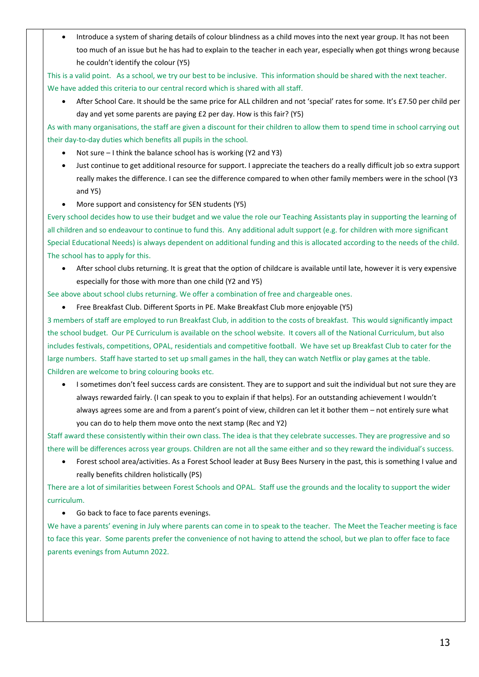• Introduce a system of sharing details of colour blindness as a child moves into the next year group. It has not been too much of an issue but he has had to explain to the teacher in each year, especially when got things wrong because he couldn't identify the colour (Y5)

This is a valid point. As a school, we try our best to be inclusive. This information should be shared with the next teacher. We have added this criteria to our central record which is shared with all staff.

• After School Care. It should be the same price for ALL children and not 'special' rates for some. It's £7.50 per child per day and yet some parents are paying £2 per day. How is this fair? (Y5)

As with many organisations, the staff are given a discount for their children to allow them to spend time in school carrying out their day-to-day duties which benefits all pupils in the school.

- Not sure I think the balance school has is working (Y2 and Y3)
- Just continue to get additional resource for support. I appreciate the teachers do a really difficult job so extra support really makes the difference. I can see the difference compared to when other family members were in the school (Y3 and Y5)
- More support and consistency for SEN students (Y5)

Every school decides how to use their budget and we value the role our Teaching Assistants play in supporting the learning of all children and so endeavour to continue to fund this. Any additional adult support (e.g. for children with more significant Special Educational Needs) is always dependent on additional funding and this is allocated according to the needs of the child. The school has to apply for this.

• After school clubs returning. It is great that the option of childcare is available until late, however it is very expensive especially for those with more than one child (Y2 and Y5)

See above about school clubs returning. We offer a combination of free and chargeable ones.

• Free Breakfast Club. Different Sports in PE. Make Breakfast Club more enjoyable (Y5)

3 members of staff are employed to run Breakfast Club, in addition to the costs of breakfast. This would significantly impact the school budget. Our PE Curriculum is available on the school website. It covers all of the National Curriculum, but also includes festivals, competitions, OPAL, residentials and competitive football. We have set up Breakfast Club to cater for the large numbers. Staff have started to set up small games in the hall, they can watch Netflix or play games at the table. Children are welcome to bring colouring books etc.

• I sometimes don't feel success cards are consistent. They are to support and suit the individual but not sure they are always rewarded fairly. (I can speak to you to explain if that helps). For an outstanding achievement I wouldn't always agrees some are and from a parent's point of view, children can let it bother them – not entirely sure what you can do to help them move onto the next stamp (Rec and Y2)

Staff award these consistently within their own class. The idea is that they celebrate successes. They are progressive and so there will be differences across year groups. Children are not all the same either and so they reward the individual's success.

• Forest school area/activities. As a Forest School leader at Busy Bees Nursery in the past, this is something I value and really benefits children holistically (PS)

There are a lot of similarities between Forest Schools and OPAL. Staff use the grounds and the locality to support the wider curriculum.

• Go back to face to face parents evenings.

We have a parents' evening in July where parents can come in to speak to the teacher. The Meet the Teacher meeting is face to face this year. Some parents prefer the convenience of not having to attend the school, but we plan to offer face to face parents evenings from Autumn 2022.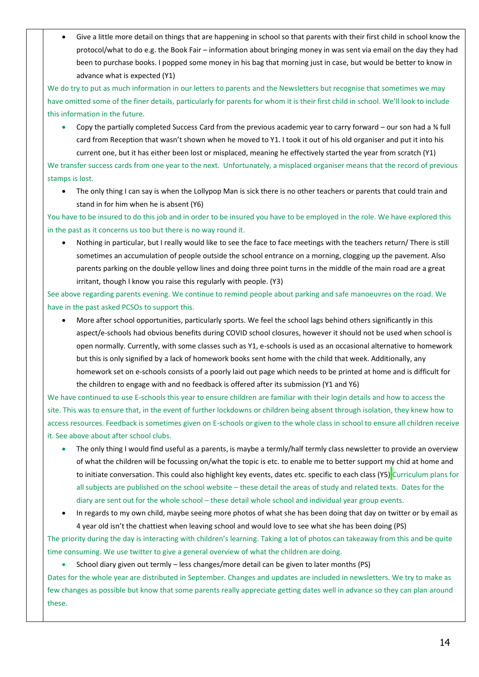• Give a little more detail on things that are happening in school so that parents with their first child in school know the protocol/what to do e.g. the Book Fair – information about bringing money in was sent via email on the day they had been to purchase books. I popped some money in his bag that morning just in case, but would be better to know in advance what is expected (Y1)

We do try to put as much information in our letters to parents and the Newsletters but recognise that sometimes we may have omitted some of the finer details, particularly for parents for whom it is their first child in school. We'll look to include this information in the future.

• Copy the partially completed Success Card from the previous academic year to carry forward – our son had a ¾ full card from Reception that wasn't shown when he moved to Y1. I took it out of his old organiser and put it into his current one, but it has either been lost or misplaced, meaning he effectively started the year from scratch (Y1)

We transfer success cards from one year to the next. Unfortunately, a misplaced organiser means that the record of previous stamps is lost.

• The only thing I can say is when the Lollypop Man is sick there is no other teachers or parents that could train and stand in for him when he is absent (Y6)

You have to be insured to do this job and in order to be insured you have to be employed in the role. We have explored this in the past as it concerns us too but there is no way round it.

• Nothing in particular, but I really would like to see the face to face meetings with the teachers return/ There is still sometimes an accumulation of people outside the school entrance on a morning, clogging up the pavement. Also parents parking on the double yellow lines and doing three point turns in the middle of the main road are a great irritant, though I know you raise this regularly with people. (Y3)

See above regarding parents evening. We continue to remind people about parking and safe manoeuvres on the road. We have in the past asked PCSOs to support this.

• More after school opportunities, particularly sports. We feel the school lags behind others significantly in this aspect/e-schools had obvious benefits during COVID school closures, however it should not be used when school is open normally. Currently, with some classes such as Y1, e-schools is used as an occasional alternative to homework but this is only signified by a lack of homework books sent home with the child that week. Additionally, any homework set on e-schools consists of a poorly laid out page which needs to be printed at home and is difficult for the children to engage with and no feedback is offered after its submission (Y1 and Y6)

We have continued to use E-schools this year to ensure children are familiar with their login details and how to access the site. This was to ensure that, in the event of further lockdowns or children being absent through isolation, they knew how to access resources. Feedback is sometimes given on E-schools or given to the whole class in school to ensure all children receive it. See above about after school clubs.

- The only thing I would find useful as a parents, is maybe a termly/half termly class newsletter to provide an overview of what the children will be focussing on/what the topic is etc. to enable me to better support my chid at home and to initiate conversation. This could also highlight key events, dates etc. specific to each class (Y5) Curriculum plans for all subjects are published on the school website – these detail the areas of study and related texts. Dates for the diary are sent out for the whole school – these detail whole school and individual year group events.
- In regards to my own child, maybe seeing more photos of what she has been doing that day on twitter or by email as 4 year old isn't the chattiest when leaving school and would love to see what she has been doing (PS)

The priority during the day is interacting with children's learning. Taking a lot of photos can takeaway from this and be quite time consuming. We use twitter to give a general overview of what the children are doing.

• School diary given out termly – less changes/more detail can be given to later months (PS)

Dates for the whole year are distributed in September. Changes and updates are included in newsletters. We try to make as few changes as possible but know that some parents really appreciate getting dates well in advance so they can plan around these.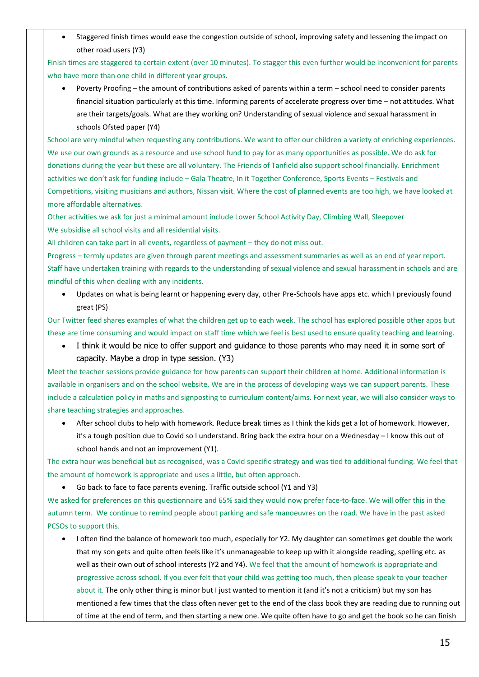• Staggered finish times would ease the congestion outside of school, improving safety and lessening the impact on other road users (Y3)

Finish times are staggered to certain extent (over 10 minutes). To stagger this even further would be inconvenient for parents who have more than one child in different year groups.

• Poverty Proofing – the amount of contributions asked of parents within a term – school need to consider parents financial situation particularly at this time. Informing parents of accelerate progress over time – not attitudes. What are their targets/goals. What are they working on? Understanding of sexual violence and sexual harassment in schools Ofsted paper (Y4)

School are very mindful when requesting any contributions. We want to offer our children a variety of enriching experiences. We use our own grounds as a resource and use school fund to pay for as many opportunities as possible. We do ask for donations during the year but these are all voluntary. The Friends of Tanfield also support school financially. Enrichment activities we don't ask for funding include – Gala Theatre, In it Together Conference, Sports Events – Festivals and Competitions, visiting musicians and authors, Nissan visit. Where the cost of planned events are too high, we have looked at more affordable alternatives.

Other activities we ask for just a minimal amount include Lower School Activity Day, Climbing Wall, Sleepover We subsidise all school visits and all residential visits.

All children can take part in all events, regardless of payment – they do not miss out.

Progress – termly updates are given through parent meetings and assessment summaries as well as an end of year report. Staff have undertaken training with regards to the understanding of sexual violence and sexual harassment in schools and are mindful of this when dealing with any incidents.

• Updates on what is being learnt or happening every day, other Pre-Schools have apps etc. which I previously found great (PS)

Our Twitter feed shares examples of what the children get up to each week. The school has explored possible other apps but these are time consuming and would impact on staff time which we feel is best used to ensure quality teaching and learning.

I think it would be nice to offer support and guidance to those parents who may need it in some sort of capacity. Maybe a drop in type session. (Y3)

Meet the teacher sessions provide guidance for how parents can support their children at home. Additional information is available in organisers and on the school website. We are in the process of developing ways we can support parents. These include a calculation policy in maths and signposting to curriculum content/aims. For next year, we will also consider ways to share teaching strategies and approaches.

• After school clubs to help with homework. Reduce break times as I think the kids get a lot of homework. However, it's a tough position due to Covid so I understand. Bring back the extra hour on a Wednesday – I know this out of school hands and not an improvement (Y1).

The extra hour was beneficial but as recognised, was a Covid specific strategy and was tied to additional funding. We feel that the amount of homework is appropriate and uses a little, but often approach.

• Go back to face to face parents evening. Traffic outside school (Y1 and Y3)

We asked for preferences on this questionnaire and 65% said they would now prefer face-to-face. We will offer this in the autumn term. We continue to remind people about parking and safe manoeuvres on the road. We have in the past asked PCSOs to support this.

• I often find the balance of homework too much, especially for Y2. My daughter can sometimes get double the work that my son gets and quite often feels like it's unmanageable to keep up with it alongside reading, spelling etc. as well as their own out of school interests (Y2 and Y4). We feel that the amount of homework is appropriate and progressive across school. If you ever felt that your child was getting too much, then please speak to your teacher about it. The only other thing is minor but I just wanted to mention it (and it's not a criticism) but my son has mentioned a few times that the class often never get to the end of the class book they are reading due to running out of time at the end of term, and then starting a new one. We quite often have to go and get the book so he can finish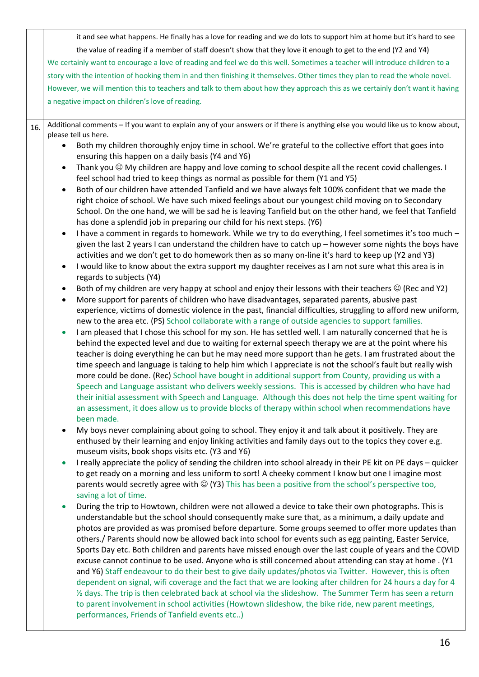|     | it and see what happens. He finally has a love for reading and we do lots to support him at home but it's hard to see                                                                                                                                                                                                                                                                                                                                                                                                                                                                                                                                                                                                                                                                                                                                                                                                                                                                                                                                                                                                                                                                              |
|-----|----------------------------------------------------------------------------------------------------------------------------------------------------------------------------------------------------------------------------------------------------------------------------------------------------------------------------------------------------------------------------------------------------------------------------------------------------------------------------------------------------------------------------------------------------------------------------------------------------------------------------------------------------------------------------------------------------------------------------------------------------------------------------------------------------------------------------------------------------------------------------------------------------------------------------------------------------------------------------------------------------------------------------------------------------------------------------------------------------------------------------------------------------------------------------------------------------|
|     | the value of reading if a member of staff doesn't show that they love it enough to get to the end (Y2 and Y4)                                                                                                                                                                                                                                                                                                                                                                                                                                                                                                                                                                                                                                                                                                                                                                                                                                                                                                                                                                                                                                                                                      |
|     | We certainly want to encourage a love of reading and feel we do this well. Sometimes a teacher will introduce children to a                                                                                                                                                                                                                                                                                                                                                                                                                                                                                                                                                                                                                                                                                                                                                                                                                                                                                                                                                                                                                                                                        |
|     | story with the intention of hooking them in and then finishing it themselves. Other times they plan to read the whole novel.                                                                                                                                                                                                                                                                                                                                                                                                                                                                                                                                                                                                                                                                                                                                                                                                                                                                                                                                                                                                                                                                       |
|     | However, we will mention this to teachers and talk to them about how they approach this as we certainly don't want it having                                                                                                                                                                                                                                                                                                                                                                                                                                                                                                                                                                                                                                                                                                                                                                                                                                                                                                                                                                                                                                                                       |
|     | a negative impact on children's love of reading.                                                                                                                                                                                                                                                                                                                                                                                                                                                                                                                                                                                                                                                                                                                                                                                                                                                                                                                                                                                                                                                                                                                                                   |
|     |                                                                                                                                                                                                                                                                                                                                                                                                                                                                                                                                                                                                                                                                                                                                                                                                                                                                                                                                                                                                                                                                                                                                                                                                    |
| 16. | Additional comments - If you want to explain any of your answers or if there is anything else you would like us to know about,<br>please tell us here.<br>Both my children thoroughly enjoy time in school. We're grateful to the collective effort that goes into<br>$\bullet$<br>ensuring this happen on a daily basis (Y4 and Y6)<br>Thank you $\odot$ My children are happy and love coming to school despite all the recent covid challenges. I<br>feel school had tried to keep things as normal as possible for them (Y1 and Y5)<br>Both of our children have attended Tanfield and we have always felt 100% confident that we made the<br>$\bullet$<br>right choice of school. We have such mixed feelings about our youngest child moving on to Secondary<br>School. On the one hand, we will be sad he is leaving Tanfield but on the other hand, we feel that Tanfield<br>has done a splendid job in preparing our child for his next steps. (Y6)<br>I have a comment in regards to homework. While we try to do everything, I feel sometimes it's too much -<br>$\bullet$<br>given the last 2 years I can understand the children have to catch up - however some nights the boys have |
|     | activities and we don't get to do homework then as so many on-line it's hard to keep up (Y2 and Y3)<br>I would like to know about the extra support my daughter receives as I am not sure what this area is in<br>$\bullet$<br>regards to subjects (Y4)<br>Both of my children are very happy at school and enjoy their lessons with their teachers © (Rec and Y2)<br>$\bullet$<br>More support for parents of children who have disadvantages, separated parents, abusive past<br>$\bullet$<br>experience, victims of domestic violence in the past, financial difficulties, struggling to afford new uniform,                                                                                                                                                                                                                                                                                                                                                                                                                                                                                                                                                                                    |
|     | new to the area etc. (PS) School collaborate with a range of outside agencies to support families.<br>I am pleased that I chose this school for my son. He has settled well. I am naturally concerned that he is<br>behind the expected level and due to waiting for external speech therapy we are at the point where his<br>teacher is doing everything he can but he may need more support than he gets. I am frustrated about the<br>time speech and language is taking to help him which I appreciate is not the school's fault but really wish<br>more could be done. (Rec) School have bought in additional support from County, providing us with a<br>Speech and Language assistant who delivers weekly sessions. This is accessed by children who have had<br>their initial assessment with Speech and Language. Although this does not help the time spent waiting for<br>an assessment, it does allow us to provide blocks of therapy within school when recommendations have<br>been made.                                                                                                                                                                                            |
|     | My boys never complaining about going to school. They enjoy it and talk about it positively. They are<br>٠<br>enthused by their learning and enjoy linking activities and family days out to the topics they cover e.g.<br>museum visits, book shops visits etc. (Y3 and Y6)                                                                                                                                                                                                                                                                                                                                                                                                                                                                                                                                                                                                                                                                                                                                                                                                                                                                                                                       |
|     | I really appreciate the policy of sending the children into school already in their PE kit on PE days - quicker<br>$\bullet$<br>to get ready on a morning and less uniform to sort! A cheeky comment I know but one I imagine most<br>parents would secretly agree with $\odot$ (Y3) This has been a positive from the school's perspective too,<br>saving a lot of time.                                                                                                                                                                                                                                                                                                                                                                                                                                                                                                                                                                                                                                                                                                                                                                                                                          |
|     | During the trip to Howtown, children were not allowed a device to take their own photographs. This is<br>$\bullet$<br>understandable but the school should consequently make sure that, as a minimum, a daily update and<br>photos are provided as was promised before departure. Some groups seemed to offer more updates than<br>others./ Parents should now be allowed back into school for events such as egg painting, Easter Service,<br>Sports Day etc. Both children and parents have missed enough over the last couple of years and the COVID<br>excuse cannot continue to be used. Anyone who is still concerned about attending can stay at home . (Y1<br>and Y6) Staff endeavour to do their best to give daily updates/photos via Twitter. However, this is often<br>dependent on signal, wifi coverage and the fact that we are looking after children for 24 hours a day for 4<br>1/2 days. The trip is then celebrated back at school via the slideshow. The Summer Term has seen a return<br>to parent involvement in school activities (Howtown slideshow, the bike ride, new parent meetings,<br>performances, Friends of Tanfield events etc)                                 |